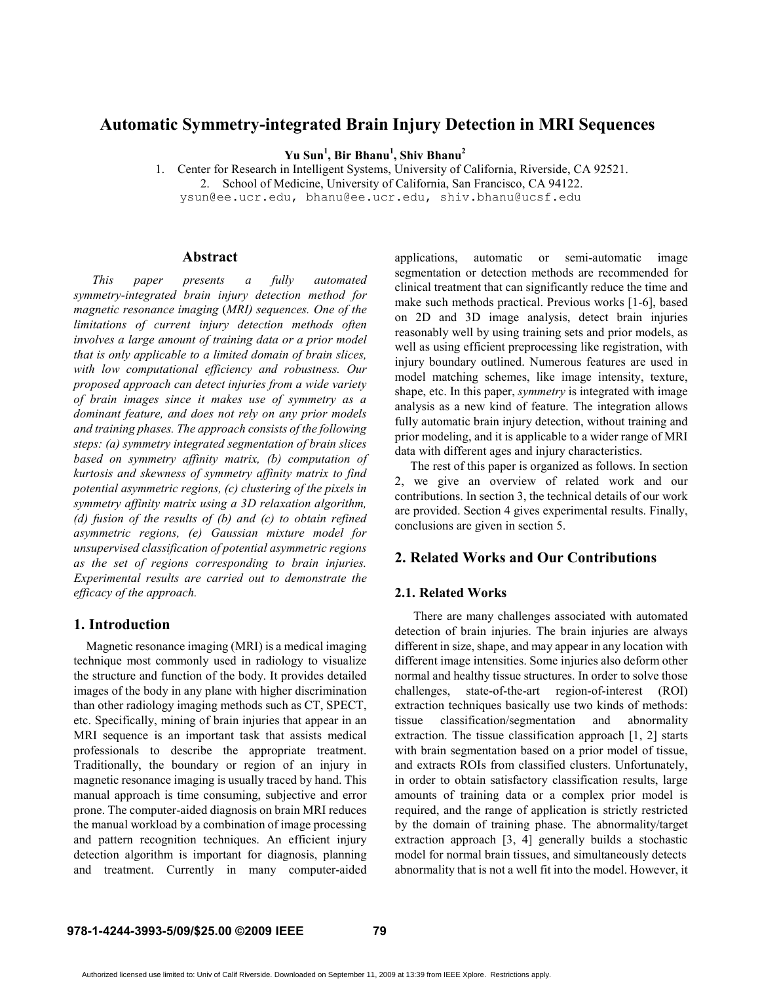# Automatic Symmetry-integrated Brain Injury Detection in MRI Sequences

Yu Sun<sup>1</sup>, Bir Bhanu<sup>1</sup>, Shiv Bhanu<sup>2</sup>

1. Center for Research in Intelligent Systems, University of California, Riverside, CA 92521. 2. School of Medicine, University of California, San Francisco, CA 94122. ysun@ee.ucr.edu, bhanu@ee.ucr.edu, shiv.bhanu@ucsf.edu

#### Abstract

This paper presents a fully automated symmetry-integrated brain injury detection method for magnetic resonance imaging (MRI) sequences. One of the limitations of current injury detection methods often involves a large amount of training data or a prior model that is only applicable to a limited domain of brain slices, with low computational efficiency and robustness. Our proposed approach can detect injuries from a wide variety of brain images since it makes use of symmetry as a dominant feature, and does not rely on any prior models and training phases. The approach consists of the following steps: (a) symmetry integrated segmentation of brain slices based on symmetry affinity matrix, (b) computation of kurtosis and skewness of symmetry affinity matrix to find potential asymmetric regions, (c) clustering of the pixels in symmetry affinity matrix using a 3D relaxation algorithm, (d) fusion of the results of  $(b)$  and  $(c)$  to obtain refined asymmetric regions, (e) Gaussian mixture model for unsupervised classification of potential asymmetric regions as the set of regions corresponding to brain injuries. Experimental results are carried out to demonstrate the efficacy of the approach.

# 1. Introduction

Magnetic resonance imaging (MRI) is a medical imaging technique most commonly used in radiology to visualize the structure and function of the body. It provides detailed images of the body in any plane with higher discrimination than other radiology imaging methods such as CT, SPECT, etc. Specifically, mining of brain injuries that appear in an MRI sequence is an important task that assists medical professionals to describe the appropriate treatment. Traditionally, the boundary or region of an injury in magnetic resonance imaging is usually traced by hand. This manual approach is time consuming, subjective and error prone. The computer-aided diagnosis on brain MRI reduces the manual workload by a combination of image processing and pattern recognition techniques. An efficient injury detection algorithm is important for diagnosis, planning and treatment. Currently in many computer-aided applications, automatic or semi-automatic image segmentation or detection methods are recommended for clinical treatment that can significantly reduce the time and make such methods practical. Previous works [1-6], based on 2D and 3D image analysis, detect brain injuries reasonably well by using training sets and prior models, as well as using efficient preprocessing like registration, with injury boundary outlined. Numerous features are used in model matching schemes, like image intensity, texture, shape, etc. In this paper, symmetry is integrated with image analysis as a new kind of feature. The integration allows fully automatic brain injury detection, without training and prior modeling, and it is applicable to a wider range of MRI data with different ages and injury characteristics.

 The rest of this paper is organized as follows. In section 2, we give an overview of related work and our contributions. In section 3, the technical details of our work are provided. Section 4 gives experimental results. Finally, conclusions are given in section 5.

# 2. Related Works and Our Contributions

### 2.1. Related Works

There are many challenges associated with automated detection of brain injuries. The brain injuries are always different in size, shape, and may appear in any location with different image intensities. Some injuries also deform other normal and healthy tissue structures. In order to solve those challenges, state-of-the-art region-of-interest (ROI) extraction techniques basically use two kinds of methods: tissue classification/segmentation and abnormality extraction. The tissue classification approach [1, 2] starts with brain segmentation based on a prior model of tissue, and extracts ROIs from classified clusters. Unfortunately, in order to obtain satisfactory classification results, large amounts of training data or a complex prior model is required, and the range of application is strictly restricted by the domain of training phase. The abnormality/target extraction approach [3, 4] generally builds a stochastic model for normal brain tissues, and simultaneously detects abnormality that is not a well fit into the model. However, it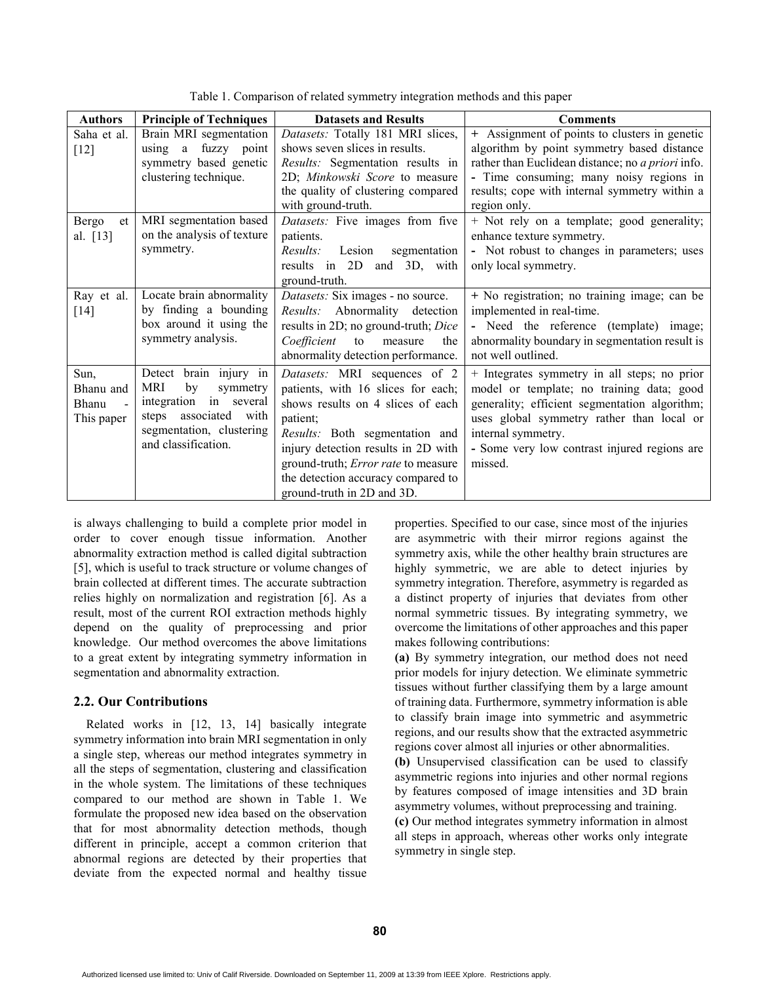| <b>Authors</b>                           | <b>Principle of Techniques</b>                                                                                                                                    | <b>Datasets and Results</b>                                                                                                                                                                                                                                                                             | <b>Comments</b>                                                                                                                                                                                                                                                          |
|------------------------------------------|-------------------------------------------------------------------------------------------------------------------------------------------------------------------|---------------------------------------------------------------------------------------------------------------------------------------------------------------------------------------------------------------------------------------------------------------------------------------------------------|--------------------------------------------------------------------------------------------------------------------------------------------------------------------------------------------------------------------------------------------------------------------------|
| Saha et al.<br>$[12]$                    | Brain MRI segmentation<br>using a fuzzy point<br>symmetry based genetic<br>clustering technique.                                                                  | Datasets: Totally 181 MRI slices,<br>shows seven slices in results.<br>Results: Segmentation results in<br>2D; Minkowski Score to measure<br>the quality of clustering compared<br>with ground-truth.                                                                                                   | + Assignment of points to clusters in genetic<br>algorithm by point symmetry based distance<br>rather than Euclidean distance; no <i>a priori</i> info.<br>- Time consuming; many noisy regions in<br>results; cope with internal symmetry within a<br>region only.      |
| Bergo<br>et<br>al. [13]                  | MRI segmentation based<br>on the analysis of texture<br>symmetry.                                                                                                 | Datasets: Five images from five<br>patients.<br>Results:<br>Lesion<br>segmentation<br>results in 2D and 3D, with<br>ground-truth.                                                                                                                                                                       | + Not rely on a template; good generality;<br>enhance texture symmetry.<br>- Not robust to changes in parameters; uses<br>only local symmetry.                                                                                                                           |
| Ray et al.<br>$[14]$                     | Locate brain abnormality<br>by finding a bounding<br>box around it using the<br>symmetry analysis.                                                                | Datasets: Six images - no source.<br>Results: Abnormality detection<br>results in 2D; no ground-truth; Dice<br>Coefficient<br>the<br>to<br>measure<br>abnormality detection performance.                                                                                                                | + No registration; no training image; can be<br>implemented in real-time.<br>- Need the reference (template) image;<br>abnormality boundary in segmentation result is<br>not well outlined.                                                                              |
| Sun,<br>Bhanu and<br>Bhanu<br>This paper | brain injury in<br>Detect<br>by<br>MRI<br>symmetry<br>in several<br>integration<br>associated<br>steps<br>with<br>segmentation, clustering<br>and classification. | Datasets: MRI sequences of 2<br>patients, with 16 slices for each;<br>shows results on 4 slices of each<br>patient;<br>Results: Both segmentation and<br>injury detection results in 2D with<br>ground-truth; Error rate to measure<br>the detection accuracy compared to<br>ground-truth in 2D and 3D. | + Integrates symmetry in all steps; no prior<br>model or template; no training data; good<br>generality; efficient segmentation algorithm;<br>uses global symmetry rather than local or<br>internal symmetry.<br>- Some very low contrast injured regions are<br>missed. |

Table 1. Comparison of related symmetry integration methods and this paper

is always challenging to build a complete prior model in order to cover enough tissue information. Another abnormality extraction method is called digital subtraction [5], which is useful to track structure or volume changes of brain collected at different times. The accurate subtraction relies highly on normalization and registration [6]. As a result, most of the current ROI extraction methods highly depend on the quality of preprocessing and prior knowledge. Our method overcomes the above limitations to a great extent by integrating symmetry information in segmentation and abnormality extraction.

### 2.2. Our Contributions

 Related works in [12, 13, 14] basically integrate symmetry information into brain MRI segmentation in only a single step, whereas our method integrates symmetry in all the steps of segmentation, clustering and classification in the whole system. The limitations of these techniques compared to our method are shown in Table 1. We formulate the proposed new idea based on the observation that for most abnormality detection methods, though different in principle, accept a common criterion that abnormal regions are detected by their properties that deviate from the expected normal and healthy tissue

properties. Specified to our case, since most of the injuries are asymmetric with their mirror regions against the symmetry axis, while the other healthy brain structures are highly symmetric, we are able to detect injuries by symmetry integration. Therefore, asymmetry is regarded as a distinct property of injuries that deviates from other normal symmetric tissues. By integrating symmetry, we overcome the limitations of other approaches and this paper makes following contributions:

(a) By symmetry integration, our method does not need prior models for injury detection. We eliminate symmetric tissues without further classifying them by a large amount of training data. Furthermore, symmetry information is able to classify brain image into symmetric and asymmetric regions, and our results show that the extracted asymmetric regions cover almost all injuries or other abnormalities.

(b) Unsupervised classification can be used to classify asymmetric regions into injuries and other normal regions by features composed of image intensities and 3D brain asymmetry volumes, without preprocessing and training.

(c) Our method integrates symmetry information in almost all steps in approach, whereas other works only integrate symmetry in single step.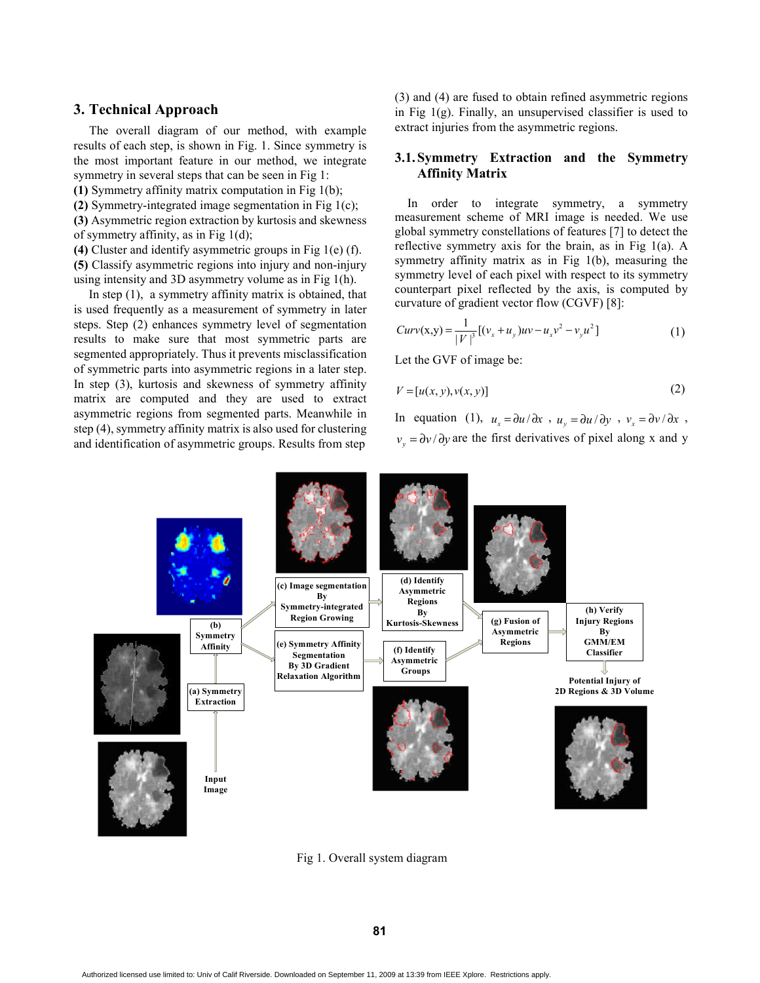# 3. Technical Approach

 The overall diagram of our method, with example results of each step, is shown in Fig. 1. Since symmetry is the most important feature in our method, we integrate symmetry in several steps that can be seen in Fig 1:

(1) Symmetry affinity matrix computation in Fig 1(b);

(2) Symmetry-integrated image segmentation in Fig 1(c);

(3) Asymmetric region extraction by kurtosis and skewness of symmetry affinity, as in Fig 1(d);

(4) Cluster and identify asymmetric groups in Fig 1(e) (f).

(5) Classify asymmetric regions into injury and non-injury using intensity and 3D asymmetry volume as in Fig 1(h).

 In step (1), a symmetry affinity matrix is obtained, that is used frequently as a measurement of symmetry in later steps. Step (2) enhances symmetry level of segmentation results to make sure that most symmetric parts are segmented appropriately. Thus it prevents misclassification of symmetric parts into asymmetric regions in a later step. In step (3), kurtosis and skewness of symmetry affinity matrix are computed and they are used to extract asymmetric regions from segmented parts. Meanwhile in step (4), symmetry affinity matrix is also used for clustering and identification of asymmetric groups. Results from step

(3) and (4) are fused to obtain refined asymmetric regions in Fig  $1(g)$ . Finally, an unsupervised classifier is used to extract injuries from the asymmetric regions.

# 3.1.Symmetry Extraction and the Symmetry Affinity Matrix

 In order to integrate symmetry, a symmetry measurement scheme of MRI image is needed. We use global symmetry constellations of features [7] to detect the reflective symmetry axis for the brain, as in Fig 1(a). A symmetry affinity matrix as in Fig 1(b), measuring the symmetry level of each pixel with respect to its symmetry counterpart pixel reflected by the axis, is computed by curvature of gradient vector flow (CGVF) [8]:

$$
Curv(x,y) = \frac{1}{|V|^3} [(v_x + u_y)uv - u_x v^2 - v_y u^2]
$$
 (1)

Let the GVF of image be:

$$
V = [u(x, y), v(x, y)]\tag{2}
$$

In equation (1),  $u_x = \frac{\partial u}{\partial x}$ ,  $u_y = \frac{\partial u}{\partial y}$ ,  $v_x = \frac{\partial v}{\partial x}$ ,  $v_y = \partial y / \partial y$  are the first derivatives of pixel along x and y



Fig 1. Overall system diagram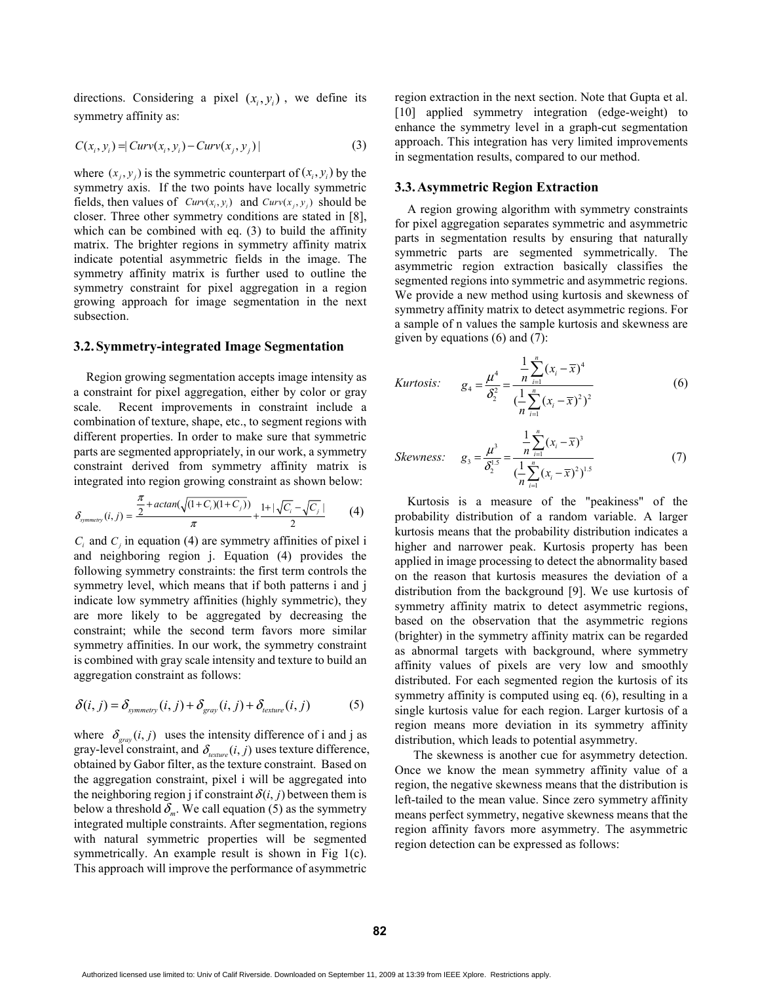directions. Considering a pixel  $(x_i, y_i)$ , we define its symmetry affinity as:

$$
C(x_i, y_i) = |Curv(x_i, y_i) - Curv(x_j, y_j)|
$$
\n(3)

where  $(x_j, y_j)$  is the symmetric counterpart of  $(x_i, y_i)$  by the symmetry axis. If the two points have locally symmetric fields, then values of  $Curv(x_i, y_i)$  and  $Curv(x_j, y_j)$  should be closer. Three other symmetry conditions are stated in [8], which can be combined with eq. (3) to build the affinity matrix. The brighter regions in symmetry affinity matrix indicate potential asymmetric fields in the image. The symmetry affinity matrix is further used to outline the symmetry constraint for pixel aggregation in a region growing approach for image segmentation in the next subsection.

## 3.2.Symmetry-integrated Image Segmentation

 Region growing segmentation accepts image intensity as a constraint for pixel aggregation, either by color or gray scale. Recent improvements in constraint include a combination of texture, shape, etc., to segment regions with different properties. In order to make sure that symmetric parts are segmented appropriately, in our work, a symmetry constraint derived from symmetry affinity matrix is integrated into region growing constraint as shown below:

$$
\delta_{symmetry}(i,j) = \frac{\frac{\pi}{2} + \arctan(\sqrt{(1+C_i)(1+C_j)})}{\pi} + \frac{1 + |\sqrt{C_i} - \sqrt{C_j}|}{2}
$$
 (4)

 $C_i$  and  $C_j$  in equation (4) are symmetry affinities of pixel i and neighboring region j. Equation (4) provides the following symmetry constraints: the first term controls the symmetry level, which means that if both patterns i and j indicate low symmetry affinities (highly symmetric), they are more likely to be aggregated by decreasing the constraint; while the second term favors more similar symmetry affinities. In our work, the symmetry constraint is combined with gray scale intensity and texture to build an aggregation constraint as follows:

$$
\delta(i, j) = \delta_{symmetry}(i, j) + \delta_{grav}(i, j) + \delta_{texture}(i, j)
$$
 (5)

where  $\delta_{\rm grav}(i, j)$  uses the intensity difference of i and j as gray-level constraint, and  $\delta_{\text{feature}}(i, j)$  uses texture difference, obtained by Gabor filter, as the texture constraint. Based on the aggregation constraint, pixel i will be aggregated into the neighboring region j if constraint  $\delta(i, j)$  between them is below a threshold  $\delta_m$ . We call equation (5) as the symmetry integrated multiple constraints. After segmentation, regions with natural symmetric properties will be segmented symmetrically. An example result is shown in Fig 1(c). This approach will improve the performance of asymmetric

region extraction in the next section. Note that Gupta et al. [10] applied symmetry integration (edge-weight) to enhance the symmetry level in a graph-cut segmentation approach. This integration has very limited improvements in segmentation results, compared to our method.

## 3.3.Asymmetric Region Extraction

 A region growing algorithm with symmetry constraints for pixel aggregation separates symmetric and asymmetric parts in segmentation results by ensuring that naturally symmetric parts are segmented symmetrically. The asymmetric region extraction basically classifies the segmented regions into symmetric and asymmetric regions. We provide a new method using kurtosis and skewness of symmetry affinity matrix to detect asymmetric regions. For a sample of n values the sample kurtosis and skewness are given by equations (6) and (7):

Kurtosis: 
$$
g_4 = \frac{\mu^4}{\delta_2^2} = \frac{\frac{1}{n} \sum_{i=1}^n (x_i - \overline{x})^4}{(\frac{1}{n} \sum_{i=1}^n (x_i - \overline{x})^2)^2}
$$
(6)

Skewness: 
$$
g_3 = \frac{\mu^3}{\delta_2^{1.5}} = \frac{\frac{1}{n} \sum_{i=1}^n (x_i - \overline{x})^3}{(\frac{1}{n} \sum_{i=1}^n (x_i - \overline{x})^2)^{1.5}}
$$
 (7)

 Kurtosis is a measure of the "peakiness" of the probability distribution of a random variable. A larger kurtosis means that the probability distribution indicates a higher and narrower peak. Kurtosis property has been applied in image processing to detect the abnormality based on the reason that kurtosis measures the deviation of a distribution from the background [9]. We use kurtosis of symmetry affinity matrix to detect asymmetric regions, based on the observation that the asymmetric regions (brighter) in the symmetry affinity matrix can be regarded as abnormal targets with background, where symmetry affinity values of pixels are very low and smoothly distributed. For each segmented region the kurtosis of its symmetry affinity is computed using eq. (6), resulting in a single kurtosis value for each region. Larger kurtosis of a region means more deviation in its symmetry affinity distribution, which leads to potential asymmetry.

 The skewness is another cue for asymmetry detection. Once we know the mean symmetry affinity value of a region, the negative skewness means that the distribution is left-tailed to the mean value. Since zero symmetry affinity means perfect symmetry, negative skewness means that the region affinity favors more asymmetry. The asymmetric region detection can be expressed as follows: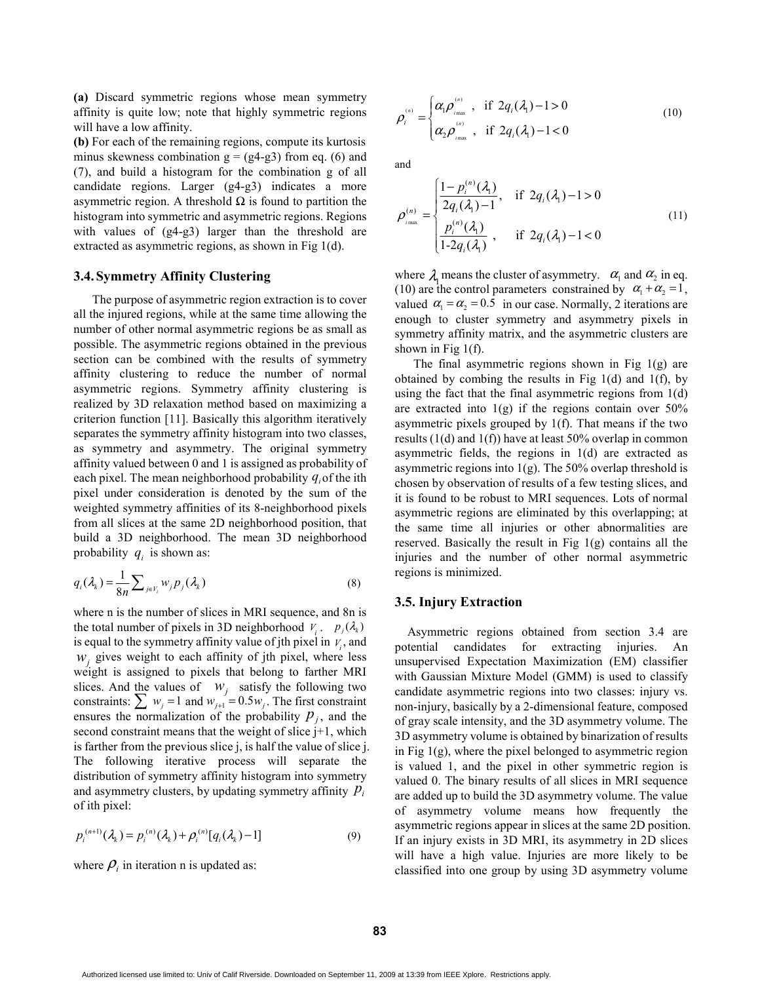(a) Discard symmetric regions whose mean symmetry affinity is quite low; note that highly symmetric regions will have a low affinity.

(b) For each of the remaining regions, compute its kurtosis minus skewness combination  $g = (g4-g3)$  from eq. (6) and (7), and build a histogram for the combination g of all candidate regions. Larger (g4-g3) indicates a more asymmetric region. A threshold  $\Omega$  is found to partition the histogram into symmetric and asymmetric regions. Regions with values of (g4-g3) larger than the threshold are extracted as asymmetric regions, as shown in Fig 1(d).

#### 3.4.Symmetry Affinity Clustering

The purpose of asymmetric region extraction is to cover all the injured regions, while at the same time allowing the number of other normal asymmetric regions be as small as possible. The asymmetric regions obtained in the previous section can be combined with the results of symmetry affinity clustering to reduce the number of normal asymmetric regions. Symmetry affinity clustering is realized by 3D relaxation method based on maximizing a criterion function [11]. Basically this algorithm iteratively separates the symmetry affinity histogram into two classes, as symmetry and asymmetry. The original symmetry affinity valued between 0 and 1 is assigned as probability of each pixel. The mean neighborhood probability  $q_i$  of the ith pixel under consideration is denoted by the sum of the weighted symmetry affinities of its 8-neighborhood pixels from all slices at the same 2D neighborhood position, that build a 3D neighborhood. The mean 3D neighborhood probability  $q_i$  is shown as:

$$
q_i(\lambda_k) = \frac{1}{8n} \sum_{j \in V_i} w_j p_j(\lambda_k)
$$
\n(8)

where n is the number of slices in MRI sequence, and 8n is the total number of pixels in 3D neighborhood  $V_i$ .  $p_j(\lambda_k)$ is equal to the symmetry affinity value of jth pixel in  $V_i$ , and  $w_j$  gives weight to each affinity of jth pixel, where less weight is assigned to pixels that belong to farther MRI slices. And the values of  $W_i$  satisfy the following two constraints:  $\sum_{i=1}^{\infty} w_i = 1$  and  $w_{i+1} = 0.5w_i$ . The first constraint ensures the normalization of the probability  $p_j$ , and the second constraint means that the weight of slice j+1, which is farther from the previous slice j, is half the value of slice j. The following iterative process will separate the distribution of symmetry affinity histogram into symmetry and asymmetry clusters, by updating symmetry affinity  $p_i$ of ith pixel:  $w_j$  $\sum w_j = 1$  and  $w_{j+1} = 0.5 w_j$ 

$$
p_i^{(n+1)}(\lambda_k) = p_i^{(n)}(\lambda_k) + \rho_i^{(n)}[q_i(\lambda_k) - 1]
$$
\n(9)

where  $\rho_i$  in iteration n is updated as:

$$
\rho_i^{\scriptscriptstyle(n)} = \begin{cases} \alpha_i \rho_{\scriptscriptstyle \text{max}}^{\scriptscriptstyle(n)} & \text{if } 2q_i(\lambda_1) - 1 > 0 \\ \alpha_2 \rho_{\scriptscriptstyle \text{max}}^{\scriptscriptstyle(n)} & \text{if } 2q_i(\lambda_1) - 1 < 0 \end{cases} \tag{10}
$$

and

$$
\rho_{\text{max}}^{(n)} = \begin{cases}\n\frac{1 - p_i^{(n)}(\lambda_1)}{2q_i(\lambda_1) - 1}, & \text{if } 2q_i(\lambda_1) - 1 > 0 \\
\frac{p_i^{(n)}(\lambda_1)}{1 - 2q_i(\lambda_1)}, & \text{if } 2q_i(\lambda_1) - 1 < 0\n\end{cases}
$$
\n(11)

where  $\lambda_1$  means the cluster of asymmetry.  $\alpha_1$  and  $\alpha_2$  in eq. (10) are the control parameters constrained by  $\alpha_1 + \alpha_2 = 1$ , valued  $\alpha_1 = \alpha_2 = 0.5$  in our case. Normally, 2 iterations are enough to cluster symmetry and asymmetry pixels in symmetry affinity matrix, and the asymmetric clusters are shown in Fig 1(f).

The final asymmetric regions shown in Fig  $1(g)$  are obtained by combing the results in Fig  $1(d)$  and  $1(f)$ , by using the fact that the final asymmetric regions from 1(d) are extracted into  $1(g)$  if the regions contain over  $50\%$ asymmetric pixels grouped by 1(f). That means if the two results (1(d) and 1(f)) have at least 50% overlap in common asymmetric fields, the regions in 1(d) are extracted as asymmetric regions into  $1(g)$ . The 50% overlap threshold is chosen by observation of results of a few testing slices, and it is found to be robust to MRI sequences. Lots of normal asymmetric regions are eliminated by this overlapping; at the same time all injuries or other abnormalities are reserved. Basically the result in Fig  $1(g)$  contains all the injuries and the number of other normal asymmetric regions is minimized.

#### 3.5. Injury Extraction

 Asymmetric regions obtained from section 3.4 are potential candidates for extracting injuries. An unsupervised Expectation Maximization (EM) classifier with Gaussian Mixture Model (GMM) is used to classify candidate asymmetric regions into two classes: injury vs. non-injury, basically by a 2-dimensional feature, composed of gray scale intensity, and the 3D asymmetry volume. The 3D asymmetry volume is obtained by binarization of results in Fig 1(g), where the pixel belonged to asymmetric region is valued 1, and the pixel in other symmetric region is valued 0. The binary results of all slices in MRI sequence are added up to build the 3D asymmetry volume. The value of asymmetry volume means how frequently the asymmetric regions appear in slices at the same 2D position. If an injury exists in 3D MRI, its asymmetry in 2D slices will have a high value. Injuries are more likely to be classified into one group by using 3D asymmetry volume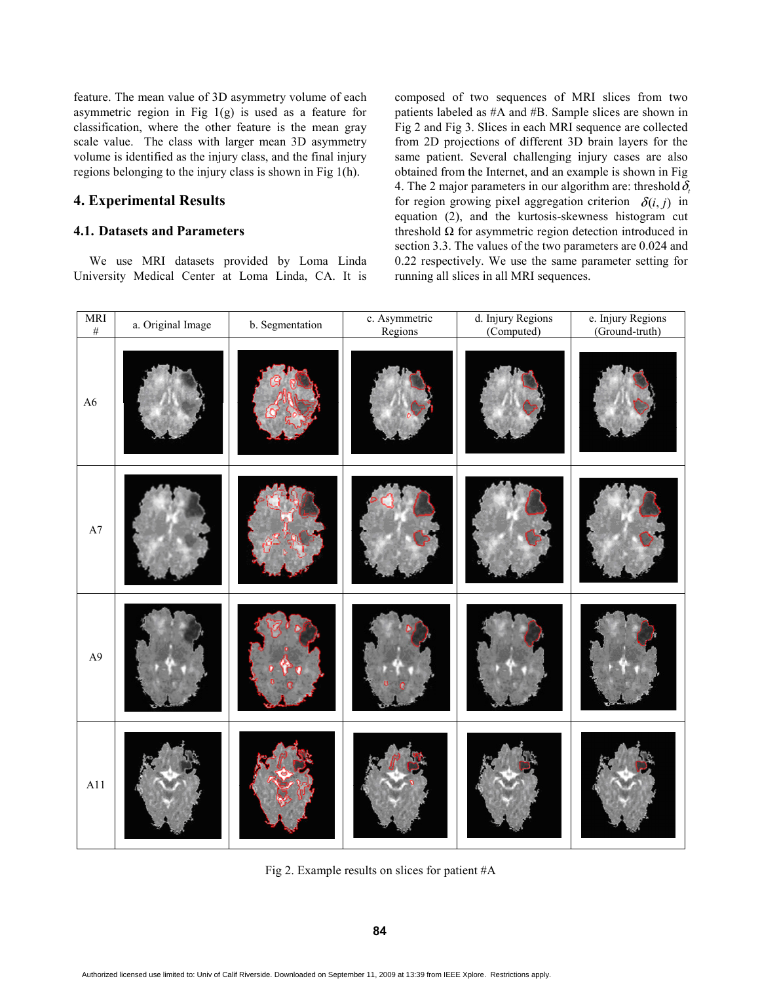feature. The mean value of 3D asymmetry volume of each asymmetric region in Fig  $1(g)$  is used as a feature for classification, where the other feature is the mean gray scale value. The class with larger mean 3D asymmetry volume is identified as the injury class, and the final injury regions belonging to the injury class is shown in Fig 1(h).

# 4. Experimental Results

## 4.1. Datasets and Parameters

 We use MRI datasets provided by Loma Linda University Medical Center at Loma Linda, CA. It is composed of two sequences of MRI slices from two patients labeled as #A and #B. Sample slices are shown in Fig 2 and Fig 3. Slices in each MRI sequence are collected from 2D projections of different 3D brain layers for the same patient. Several challenging injury cases are also obtained from the Internet, and an example is shown in Fig 4. The 2 major parameters in our algorithm are: threshold  $\delta_{\alpha}$ for region growing pixel aggregation criterion  $\delta(i, j)$  in equation (2), and the kurtosis-skewness histogram cut threshold  $Ω$  for asymmetric region detection introduced in section 3.3. The values of the two parameters are 0.024 and 0.22 respectively. We use the same parameter setting for running all slices in all MRI sequences.

| $\begin{array}{c} \text{MRI} \\ \# \end{array}$ | a. Original Image | b. Segmentation | c. Asymmetric<br>Regions | d. Injury Regions<br>(Computed) | e. Injury Regions<br>(Ground-truth) |
|-------------------------------------------------|-------------------|-----------------|--------------------------|---------------------------------|-------------------------------------|
| A6                                              |                   |                 |                          |                                 |                                     |
| A7                                              |                   |                 |                          |                                 |                                     |
| A9                                              |                   |                 |                          |                                 |                                     |
| $\rm A11$                                       |                   |                 |                          |                                 |                                     |

Fig 2. Example results on slices for patient #A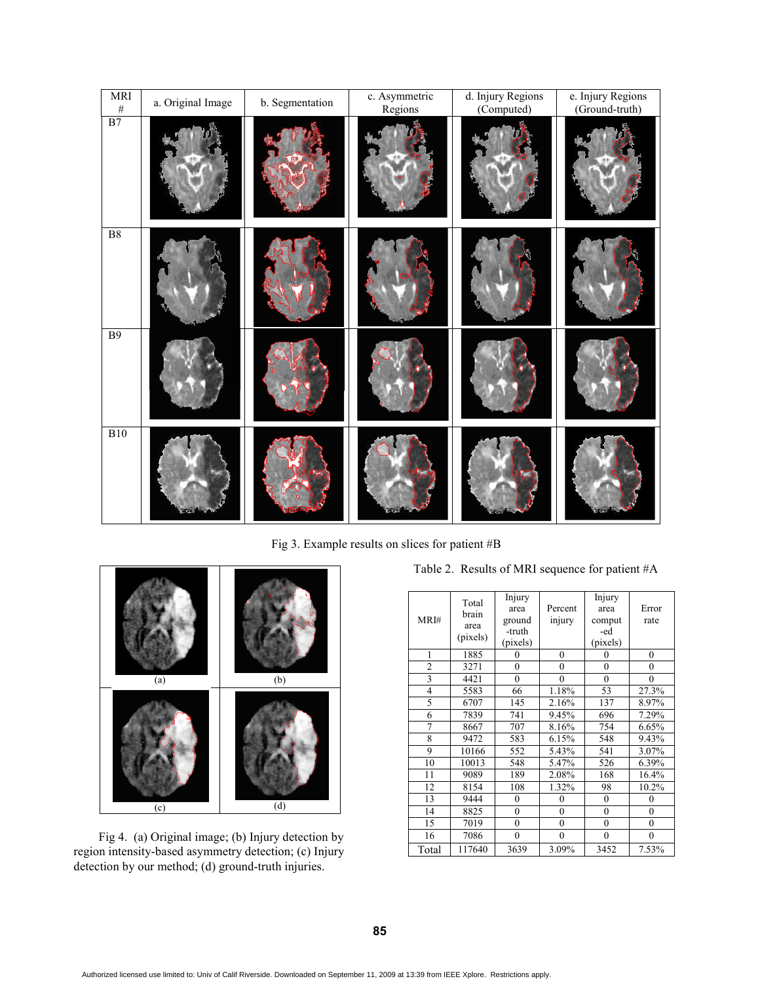| MRI                   | a. Original Image | b. Segmentation | c. Asymmetric<br>Regions | d. Injury Regions<br>(Computed) | e. Injury Regions<br>(Ground-truth) |
|-----------------------|-------------------|-----------------|--------------------------|---------------------------------|-------------------------------------|
| $\frac{4}{\text{B7}}$ |                   |                 |                          |                                 |                                     |
| ${\bf B}8$            |                   |                 |                          |                                 |                                     |
| <b>B</b> 9            |                   |                 |                          |                                 |                                     |
| <b>B10</b>            |                   |                 |                          |                                 |                                     |

Fig 3. Example results on slices for patient #B



 Fig 4. (a) Original image; (b) Injury detection by region intensity-based asymmetry detection; (c) Injury detection by our method; (d) ground-truth injuries.

| MRI#           | Total<br>brain<br>area<br>(pixels) | Injury<br>area<br>ground<br>-truth<br>(pixels) | Percent<br>injury | Injury<br>area<br>comput<br>-ed<br>(pixels) | Error<br>rate |
|----------------|------------------------------------|------------------------------------------------|-------------------|---------------------------------------------|---------------|
| $\mathbf{1}$   | 1885                               | $\theta$                                       | $\mathbf{0}$      | $\theta$                                    | $\mathbf{0}$  |
| $\overline{2}$ | 3271                               | $\theta$                                       | $\overline{0}$    | 0                                           | $\mathbf{0}$  |
| $\overline{3}$ | 4421                               | $\theta$                                       | $\theta$          | $\mathbf{0}$                                | $\theta$      |
| $\overline{4}$ | 5583                               | 66                                             | 1.18%             | 53                                          | 27.3%         |
| 5              | 6707                               | 145                                            | 2.16%             | 137                                         | 8.97%         |
| 6              | 7839                               | 741                                            | 9.45%             | 696                                         | 7.29%         |
| $\overline{7}$ | 8667                               | 707                                            | 8.16%             | 754                                         | 6.65%         |
| 8              | 9472                               | 583                                            | 6.15%             | 548                                         | 9.43%         |
| 9              | 10166                              | 552                                            | 5.43%             | 541                                         | 3.07%         |
| 10             | 10013                              | 548                                            | 5.47%             | 526                                         | 6.39%         |
| 11             | 9089                               | 189                                            | 2.08%             | 168                                         | 16.4%         |
| 12             | 8154                               | 108                                            | 1.32%             | 98                                          | 10.2%         |
| 13             | 9444                               | $\mathbf{0}$                                   | 0                 | $\mathbf{0}$                                | 0             |
| 14             | 8825                               | $\theta$                                       | $\theta$          | $\mathbf{0}$                                | $\theta$      |
| 15             | 7019                               | $\mathbf{0}$                                   | $\overline{0}$    | $\mathbf{0}$                                | $\theta$      |
| 16             | 7086                               | $\boldsymbol{0}$                               | $\boldsymbol{0}$  | $\boldsymbol{0}$                            | $\bf{0}$      |
| Total          | 117640                             | 3639                                           | 3.09%             | 3452                                        | 7.53%         |